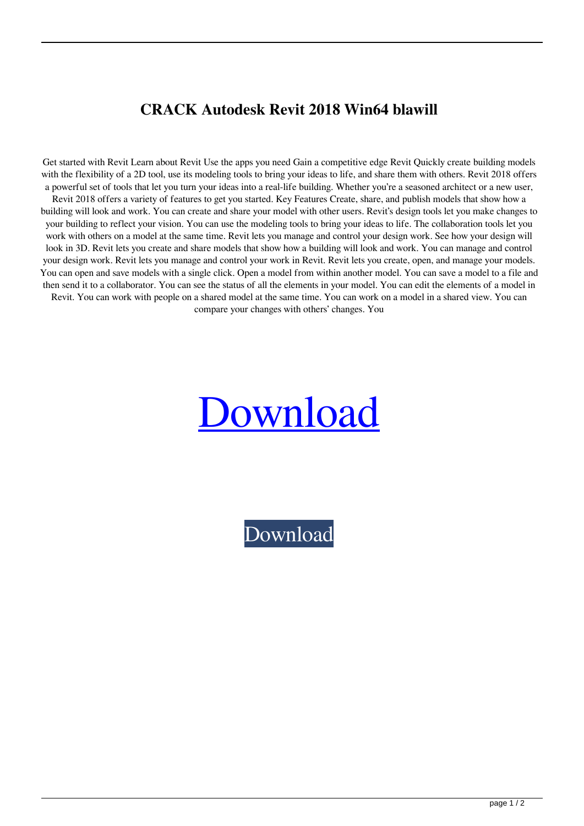## **CRACK Autodesk Revit 2018 Win64 blawill**

Get started with Revit Learn about Revit Use the apps you need Gain a competitive edge Revit Quickly create building models with the flexibility of a 2D tool, use its modeling tools to bring your ideas to life, and share them with others. Revit 2018 offers a powerful set of tools that let you turn your ideas into a real-life building. Whether you're a seasoned architect or a new user, Revit 2018 offers a variety of features to get you started. Key Features Create, share, and publish models that show how a building will look and work. You can create and share your model with other users. Revit's design tools let you make changes to your building to reflect your vision. You can use the modeling tools to bring your ideas to life. The collaboration tools let you work with others on a model at the same time. Revit lets you manage and control your design work. See how your design will look in 3D. Revit lets you create and share models that show how a building will look and work. You can manage and control your design work. Revit lets you manage and control your work in Revit. Revit lets you create, open, and manage your models. You can open and save models with a single click. Open a model from within another model. You can save a model to a file and then send it to a collaborator. You can see the status of all the elements in your model. You can edit the elements of a model in Revit. You can work with people on a shared model at the same time. You can work on a model in a shared view. You can compare your changes with others' changes. You



[Download](http://evacdir.com/Q1JBQ0sgQXV0b2Rlc2sgUmV2aXQgMjAxOCBXaW42NAQ1J/bordered/coppa.corset..heimowitz.ZG93bmxvYWR8MW14TVhBMGFYeDhNVFkxTWpRMk16QTFNSHg4TWpVM05IeDhLRTBwSUhKbFlXUXRZbXh2WnlCYlJtRnpkQ0JIUlU1ZA?prejudice=shatters)